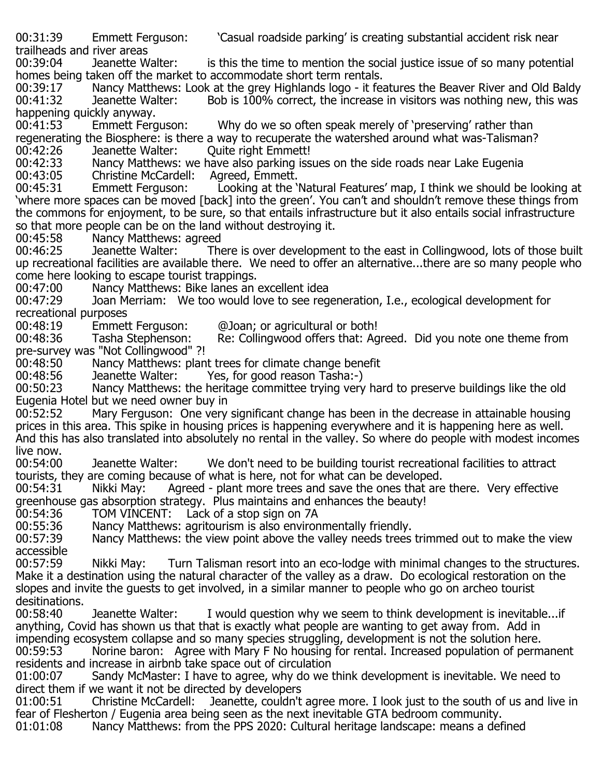00:31:39 Emmett Ferguson: 'Casual roadside parking' is creating substantial accident risk near

trailheads and river areas is this the time to mention the social justice issue of so many potential homes being taken off the market to accommodate short term rentals.<br>00:39:17 Nancy Matthews: Look at the grey Highlands logo - it fea

00:39:17 Mancy Matthews: Look at the grey Highlands logo - it features the Beaver River and Old Baldy<br>00:41:32 Jeanette Walter: Bob is 100% correct, the increase in visitors was nothing new, this was Bob is 100% correct, the increase in visitors was nothing new, this was happening quickly anyway.

Why do we so often speak merely of 'preserving' rather than regenerating the Biosphere: is there a way to recuperate the watershed around what was-Talisman?

00:42:26 Jeanette Walter: Quite right Emmett!<br>00:42:33 Nancy Matthews: we have also parking iss 00:42:33 Mancy Matthews: we have also parking issues on the side roads near Lake Eugenia<br>00:43:05 Christine McCardell: Agreed, Emmett.

00:43:05 Christine McCardell: Agreed, Emmett.<br>00:45:31 Emmett Ferguson: Looking at the 'l

Looking at the 'Natural Features' map, I think we should be looking at 'where more spaces can be moved [back] into the green'. You can't and shouldn't remove these things from the commons for enjoyment, to be sure, so that entails infrastructure but it also entails social infrastructure so that more people can be on the land without destroying it.<br>00:45:58 Nancy Matthews: agreed

00:45:58 Nancy Matthews: agreed<br>00:46:25 Jeanette Walter: The There is over development to the east in Collingwood, lots of those built up recreational facilities are available there. We need to offer an alternative...there are so many people who come here looking to escape tourist trappings.

00:47:00 Mancy Matthews: Bike lanes an excellent idea<br>00:47:29 Joan Merriam: We too would love to see reg Joan Merriam: We too would love to see regeneration, I.e., ecological development for recreational purposes

00:48:19 Emmett Ferguson: @Joan; or agricultural or both!<br>00:48:36 Tasha Stephenson: Re: Collingwood offers that: Ag

Re: Collingwood offers that: Agreed. Did you note one theme from pre-survey was "Not Collingwood" ?!

00:48:50 Nancy Matthews: plant trees for climate change benefit<br>00:48:56 Jeanette Walter: Yes, for good reason Tasha:-)

00:48:56 Jeanette Walter: Yes, for good reason Tasha:-)<br>00:50:23 Nancy Matthews: the heritage committee trying very

Nancy Matthews: the heritage committee trying very hard to preserve buildings like the old Eugenia Hotel but we need owner buy in

Mary Ferguson: One very significant change has been in the decrease in attainable housing prices in this area. This spike in housing prices is happening everywhere and it is happening here as well. And this has also translated into absolutely no rental in the valley. So where do people with modest incomes live now.<br>00:54:00

00:54:00 Jeanette Walter: We don't need to be building tourist recreational facilities to attract tourists, they are coming because of what is here, not for what can be developed.<br>00:54:31 Thikki May: The Agreed - plant more trees and save the ones that are

Agreed - plant more trees and save the ones that are there. Very effective greenhouse gas absorption strategy. Plus maintains and enhances the beauty!<br>00:54:36 TOM VINCENT: Lack of a stop sign on 7A

00:54:36 TOM VINCENT: Lack of a stop sign on 7A<br>00:55:36 Nancy Matthews: agritourism is also enviror

00:55:36 Mancy Matthews: agritourism is also environmentally friendly.<br>00:57:39 Mancy Matthews: the view point above the valley needs trees

Nancy Matthews: the view point above the valley needs trees trimmed out to make the view accessible<br>00:57:59

Nikki May: Turn Talisman resort into an eco-lodge with minimal changes to the structures. Make it a destination using the natural character of the valley as a draw. Do ecological restoration on the slopes and invite the guests to get involved, in a similar manner to people who go on archeo tourist desitinations.<br>00:58:40

Jeanette Walter: I would question why we seem to think development is inevitable...if anything, Covid has shown us that that is exactly what people are wanting to get away from. Add in impending ecosystem collapse and so many species struggling, development is not the solution here.<br>00:59:53 Norine baron: Agree with Mary F No housing for rental. Increased population of perm Norine baron: Agree with Mary F No housing for rental. Increased population of permanent

residents and increase in airbnb take space out of circulation<br>01:00:07 Sandy McMaster: I have to agree, why do we to Sandy McMaster: I have to agree, why do we think development is inevitable. We need to direct them if we want it not be directed by developers<br>01:00:51 Christine McCardell: Jeanette, couldn't

Jeanette, couldn't agree more. I look just to the south of us and live in fear of Flesherton / Eugenia area being seen as the next inevitable GTA bedroom community.<br>01:01:08 Nancy Matthews: from the PPS 2020: Cultural heritage landscape: means a def Nancy Matthews: from the PPS 2020: Cultural heritage landscape: means a defined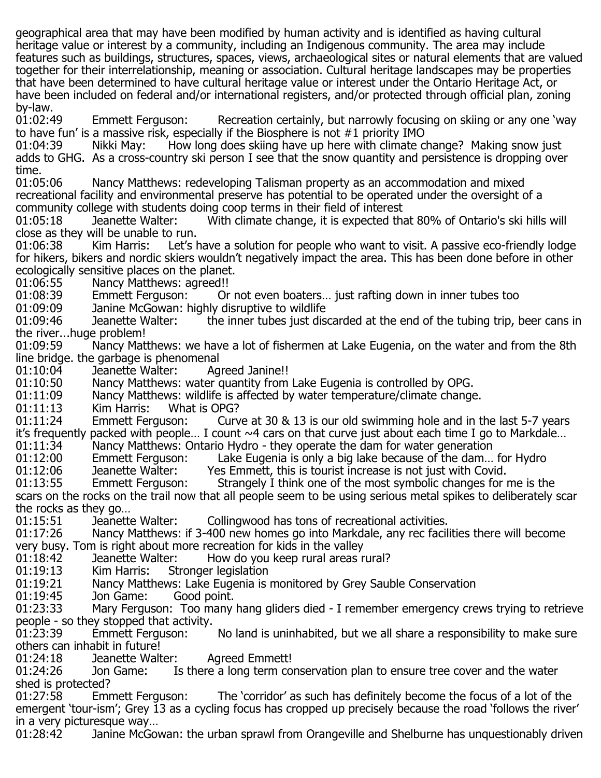geographical area that may have been modified by human activity and is identified as having cultural heritage value or interest by a community, including an Indigenous community. The area may include features such as buildings, structures, spaces, views, archaeological sites or natural elements that are valued together for their interrelationship, meaning or association. Cultural heritage landscapes may be properties that have been determined to have cultural heritage value or interest under the Ontario Heritage Act, or have been included on federal and/or international registers, and/or protected through official plan, zoning

by-law.<br>01:02:49 Emmett Ferguson: Recreation certainly, but narrowly focusing on skiing or any one 'way to have fun' is a massive risk, especially if the Biosphere is not #1 priority IMO<br>01:04:39 Nikki May: How long does skiing have up here with climate c

How long does skiing have up here with climate change? Making snow just adds to GHG. As a cross-country ski person I see that the snow quantity and persistence is dropping over time.<br>01:05:06

Nancy Matthews: redeveloping Talisman property as an accommodation and mixed recreational facility and environmental preserve has potential to be operated under the oversight of a community college with students doing coop terms in their field of interest

With climate change, it is expected that 80% of Ontario's ski hills will

close as they will be unable to run. Let's have a solution for people who want to visit. A passive eco-friendly lodge for hikers, bikers and nordic skiers wouldn't negatively impact the area. This has been done before in other

ecologically sensitive places on the planet.

01:06:55 Nancy Matthews: agreed!! 01:08:39 Emmett Ferguson: Or not even boaters… just rafting down in inner tubes too

01:09:09 Janine McGowan: highly disruptive to wildlife<br>01:09:46 Jeanette Walter: the inner tubes just dis

the inner tubes just discarded at the end of the tubing trip, beer cans in the river...huge problem!

Nancy Matthews: we have a lot of fishermen at Lake Eugenia, on the water and from the 8th line bridge. the garbage is phenomenal

01:10:04 Deanette Walter: Agreed Janine!!<br>01:10:50 Nancy Matthews: water quantity from 01:10:50 Mancy Matthews: water quantity from Lake Eugenia is controlled by OPG.<br>01:11:09 Mancy Matthews: wildlife is affected by water temperature/climate change

01:11:09 Nancy Matthews: wildlife is affected by water temperature/climate change.<br>01:11:13 Kim Harris: What is OPG?

01:11:13 Kim Harris: What is OPG?<br>01:11:24 Emmett Ferguson: Curv

Curve at 30  $\&$  13 is our old swimming hole and in the last 5-7 years it's frequently packed with people... I count ~4 cars on that curve just about each time I go to Markdale...<br>01:11:34 Nancy Matthews: Ontario Hydro - they operate the dam for water generation

01:11:34 Mancy Matthews: Ontario Hydro - they operate the dam for water generation<br>01:12:00 Emmett Ferguson: Lake Eugenia is only a big lake because of the dam...

01:12:00 Emmett Ferguson: Lake Eugenia is only a big lake because of the dam... for Hydro<br>01:12:06 Deanette Walter: Yes Emmett, this is tourist increase is not just with Covid.

 $01:12:06$  Deanette Walter: Yes Emmett, this is tourist increase is not just with Covid.<br> $01:13:55$  Emmett Ferguson: Strangely I think one of the most symbolic changes for

Strangely I think one of the most symbolic changes for me is the scars on the rocks on the trail now that all people seem to be using serious metal spikes to deliberately scar the rocks as they go…

01:15:51 Deanette Walter: Collingwood has tons of recreational activities.<br>01:17:26 Mancy Matthews: if 3-400 new homes go into Markdale, any rec facil

Nancy Matthews: if 3-400 new homes go into Markdale, any rec facilities there will become very busy. Tom is right about more recreation for kids in the valley

01:18:42 Jeanette Walter: How do you keep rural areas rural?<br>01:19:13 Kim Harris: Stronger legislation

01:19:13 Kim Harris: Stronger legislation<br>01:19:21 Nancy Matthews: Lake Eugenia is

01:19:21 Mancy Matthews: Lake Eugenia is monitored by Grey Sauble Conservation<br>01:19:45 Jon Game: Good point.

01:19:45 Jon Game: Good point.<br>01:23:33 Mary Ferguson: Too many Mary Ferguson: Too many hang gliders died - I remember emergency crews trying to retrieve people - so they stopped that activity.<br>01:23:39 Emmett Ferguson:

No land is uninhabited, but we all share a responsibility to make sure others can inhabit in future!

01:24:18 Deanette Walter: Agreed Emmett!<br>01:24:26 Don Game: Is there a long term co

Is there a long term conservation plan to ensure tree cover and the water shed is protected?<br>01:27:58 Emmett Ferguson:

The 'corridor' as such has definitely become the focus of a lot of the emergent 'tour-ism'; Grey 13 as a cycling focus has cropped up precisely because the road 'follows the river'

in a very picturesque way...<br>01:28:42 Janine McGov Janine McGowan: the urban sprawl from Orangeville and Shelburne has unquestionably driven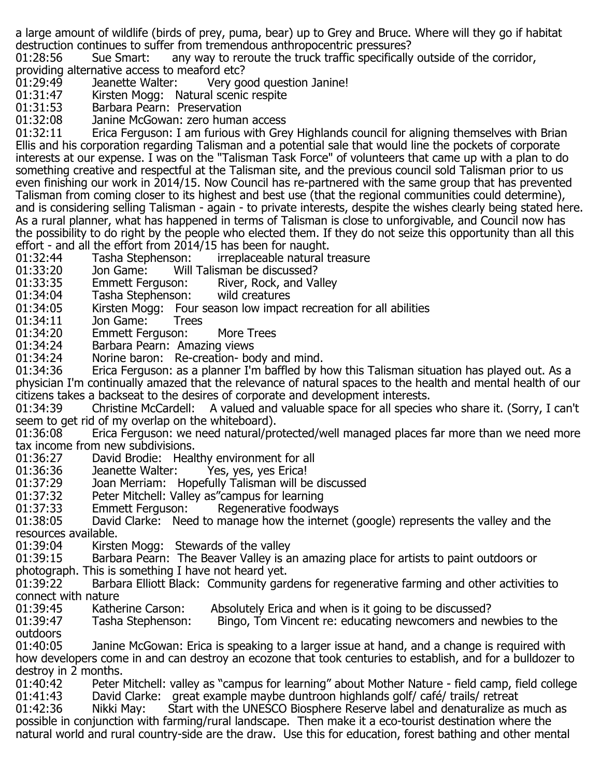a large amount of wildlife (birds of prey, puma, bear) up to Grey and Bruce. Where will they go if habitat destruction continues to suffer from tremendous anthropocentric pressures?<br>01:28:56 Sue Smart: any way to reroute the truck traffic specifically

Sue Smart: any way to reroute the truck traffic specifically outside of the corridor, providing alternative access to meaford etc?

01:29:49 Jeanette Walter: Very good question Janine!<br>01:31:47 Kirsten Mogg: Natural scenic respite

01:31:47 Kirsten Mogg: Natural scenic respite<br>01:31:53 Barbara Pearn: Preservation

01:31:53 Barbara Pearn: Preservation<br>01:32:08 Janine McGowan: zero humai

01:32:08 Janine McGowan: zero human access<br>01:32:11 Erica Ferguson: I am furious with Gre

Erica Ferguson: I am furious with Grey Highlands council for aligning themselves with Brian Ellis and his corporation regarding Talisman and a potential sale that would line the pockets of corporate interests at our expense. I was on the "Talisman Task Force" of volunteers that came up with a plan to do something creative and respectful at the Talisman site, and the previous council sold Talisman prior to us even finishing our work in 2014/15. Now Council has re-partnered with the same group that has prevented Talisman from coming closer to its highest and best use (that the regional communities could determine), and is considering selling Talisman - again - to private interests, despite the wishes clearly being stated here. As a rural planner, what has happened in terms of Talisman is close to unforgivable, and Council now has the possibility to do right by the people who elected them. If they do not seize this opportunity than all this effort - and all the effort from 2014/15 has been for naught.<br>01:32:44 Tasha Stephenson: irreplaceable natural t

01:32:44 Tasha Stephenson: irreplaceable natural treasure<br>01:33:20 Jon Game: Will Talisman be discussed?

01:33:20 Jon Game: Will Talisman be discussed?<br>01:33:35 Emmett Ferguson: River, Rock, and Va

01:33:35 Emmett Ferguson: River, Rock, and Valley<br>01:34:04 Tasha Stephenson: wild creatures

01:34:04 Tasha Stephenson:<br>01:34:05 Kirsten Mogg: Fou

01:34:05 Kirsten Mogg: Four season low impact recreation for all abilities<br>01:34:11 Jon Game: Trees

01:34:11 Jon Game:<br>01:34:20 Emmett Fer

01:34:20 Emmett Ferguson: More Trees<br>01:34:24 Barbara Pearn: Amazing views

01:34:24 Barbara Pearn: Amazing views<br>01:34:24 Norine baron: Re-creation- bo

01:34:24 Norine baron: Re-creation- body and mind.<br>01:34:36 Erica Ferguson: as a planner I'm baffled by h

Erica Ferguson: as a planner I'm baffled by how this Talisman situation has played out. As a physician I'm continually amazed that the relevance of natural spaces to the health and mental health of our citizens takes a backseat to the desires of corporate and development interests.

Christine McCardell: A valued and valuable space for all species who share it. (Sorry, I can't seem to get rid of my overlap on the whiteboard).

Erica Ferguson: we need natural/protected/well managed places far more than we need more tax income from new subdivisions.

01:36:27 David Brodie: Healthy environment for all<br>01:36:36 Deanette Walter: Yes, yes, yes Erica!

01:36:36 Jeanette Walter: Yes, yes, yes Erica!<br>01:37:29 Joan Merriam: Hopefully Talisman will be

01:37:29 Joan Merriam: Hopefully Talisman will be discussed<br>01:37:32 Peter Mitchell: Valley as"campus for learning

01:37:32 Peter Mitchell: Valley as"campus for learning<br>01:37:33 Emmett Ferguson: Regenerative foodwa

01:37:33 Emmett Ferguson: Regenerative foodways<br>01:38:05 David Clarke: Need to manage how the interne

David Clarke: Need to manage how the internet (google) represents the valley and the resources available.<br>01:39:04 Kirste

01:39:04 Kirsten Mogg: Stewards of the valley<br>01:39:15 Barbara Pearn: The Beaver Valley is a

Barbara Pearn: The Beaver Valley is an amazing place for artists to paint outdoors or photograph. This is something I have not heard yet.<br>01:39:22 Barbara Elliott Black: Community gard

Barbara Elliott Black: Community gardens for regenerative farming and other activities to connect with nature<br>01:39:45 Kathe

01:39:45 Katherine Carson: Absolutely Erica and when is it going to be discussed?<br>01:39:47 Tasha Stephenson: Bingo, Tom Vincent re: educating newcomers and ne Bingo, Tom Vincent re: educating newcomers and newbies to the

outdoors<br>01:40:05 Janine McGowan: Erica is speaking to a larger issue at hand, and a change is required with how developers come in and can destroy an ecozone that took centuries to establish, and for a bulldozer to destroy in 2 months.<br>01:40:42 Peter

01:40:42 Peter Mitchell: valley as "campus for learning" about Mother Nature - field camp, field college<br>01:41:43 David Clarke: great example maybe duntroon highlands golf/ café/ trails/ retreat 01:41:43 David Clarke: great example maybe duntroon highlands golf/ café/ trails/ retreat<br>01:42:36 Nikki May: Start with the UNESCO Biosphere Reserve label and denaturalize as

Start with the UNESCO Biosphere Reserve label and denaturalize as much as possible in conjunction with farming/rural landscape. Then make it a eco-tourist destination where the natural world and rural country-side are the draw. Use this for education, forest bathing and other mental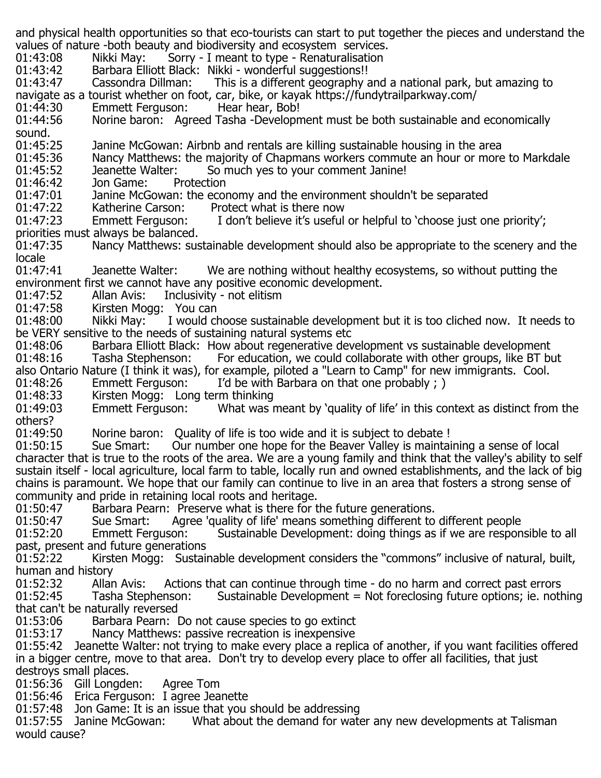and physical health opportunities so that eco-tourists can start to put together the pieces and understand the values of nature -both beauty and biodiversity and ecosystem services.<br>01:43:08 Mikki May: Sorry - I meant to type - Renaturalisation 01:43:08 Mikki May: Sorry - I meant to type - Renaturalisation<br>01:43:42 Barbara Elliott Black: Nikki - wonderful suggestions!! 01:43:42 Barbara Elliott Black: Nikki - wonderful suggestions!!<br>01:43:47 Cassondra Dillman: This is a different geography a This is a different geography and a national park, but amazing to navigate as a tourist whether on foot, car, bike, or kayak https://fundytrailparkway.com/ 01:44:30 Emmett Ferguson:<br>01:44:56 Norine baron: Agr Norine baron: Agreed Tasha -Development must be both sustainable and economically sound.<br>01:45:25 01:45:25 Janine McGowan: Airbnb and rentals are killing sustainable housing in the area<br>01:45:36 Mancy Matthews: the maiority of Chapmans workers commute an hour or more 01:45:36 Mancy Matthews: the majority of Chapmans workers commute an hour or more to Markdale<br>01:45:52 Deanette Walter: So much ves to your comment Janine! 01:45:52 Jeanette Walter: So much yes to your comment Janine!<br>01:46:42 Jon Game: Protection 01:46:42 Jon Game:<br>01:47:01 Janine McG 01:47:01 Janine McGowan: the economy and the environment shouldn't be separated<br>01:47:22 Katherine Carson: Protect what is there now 01:47:22 Katherine Carson: Protect what is there now I don't believe it's useful or helpful to 'choose just one priority'; priorities must always be balanced. Nancy Matthews: sustainable development should also be appropriate to the scenery and the locale<br>01:47:41 01:47:41 Jeanette Walter: We are nothing without healthy ecosystems, so without putting the environment first we cannot have any positive economic development.<br>01:47:52 – Allan Avis: Inclusivity - not elitism 01:47:52 Allan Avis: Inclusivity - not elitism<br>01:47:58 Kirsten Mogg: You can 01:47:58 Kirsten Mogg: You can<br>01:48:00 Nikki May: I would ch I would choose sustainable development but it is too cliched now. It needs to be VERY sensitive to the needs of sustaining natural systems etc 01:48:06 Barbara Elliott Black: How about regenerative development vs sustainable development 01:48:16 Tasha Stephenson: For education, we could collaborate with other groups, like BT bu For education, we could collaborate with other groups, like BT but also Ontario Nature (I think it was), for example, piloted a "Learn to Camp" for new immigrants. Cool.<br>01:48:26 Emmett Ferguson: I'd be with Barbara on that one probably : ) 01:48:26 Emmett Ferguson: I'd be with Barbara on that one probably ; )<br>01:48:33 Kirsten Mogg: Long term thinking 01:48:33 Kirsten Mogg: Long term thinking<br>01:49:03 Emmett Ferguson: What was r What was meant by 'quality of life' in this context as distinct from the others?<br>01:49:50 01:49:50 Morine baron: Quality of life is too wide and it is subject to debate !<br>01:50:15 Sue Smart: Our number one hope for the Beaver Valley is maintai Sue Smart: Our number one hope for the Beaver Valley is maintaining a sense of local character that is true to the roots of the area. We are a young family and think that the valley's ability to self sustain itself - local agriculture, local farm to table, locally run and owned establishments, and the lack of big chains is paramount. We hope that our family can continue to live in an area that fosters a strong sense of community and pride in retaining local roots and heritage. 01:50:47 Barbara Pearn: Preserve what is there for the future generations.<br>01:50:47 Sue Smart: Agree 'quality of life' means something different to 01:50:47 Sue Smart: Agree 'quality of life' means something different to different people<br>01:52:20 Emmett Ferguson: Sustainable Development: doing things as if we are respon Sustainable Development: doing things as if we are responsible to all past, present and future generations<br>01:52:22 Kirsten Mogg: Sustai Kirsten Mogg: Sustainable development considers the "commons" inclusive of natural, built, human and history<br>01:52:32 Allan Avis: 01:52:32 Allan Avis: Actions that can continue through time - do no harm and correct past errors<br>01:52:45 Tasha Stephenson: Sustainable Development = Not foreclosing future options; ie. noth Sustainable Development = Not foreclosing future options; ie. nothing that can't be naturally reversed<br>01:53:06 Barbara Pearn: I 01:53:06 Barbara Pearn: Do not cause species to go extinct<br>01:53:17 Mancy Matthews: passive recreation is inexpensive Nancy Matthews: passive recreation is inexpensive 01:55:42 Jeanette Walter: not trying to make every place a replica of another, if you want facilities offered in a bigger centre, move to that area. Don't try to develop every place to offer all facilities, that just destroys small places. 01:56:36 Gill Longden: Agree Tom 01:56:46 Erica Ferguson: I agree Jeanette 01:57:48 Jon Game: It is an issue that you should be addressing<br>01:57:55 Janine McGowan: What about the demand for wate What about the demand for water any new developments at Talisman

would cause?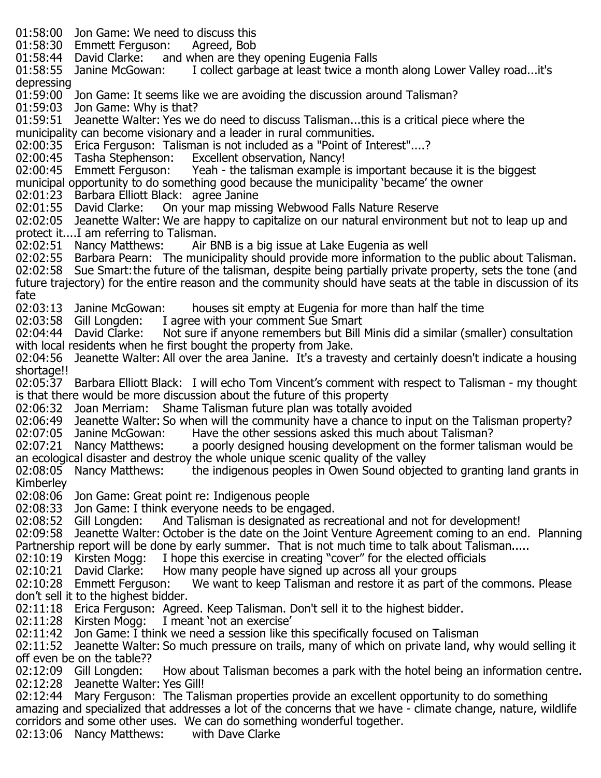- 01:58:00 Jon Game: We need to discuss this<br>01:58:30 Emmett Ferguson: Agreed, Bob
- 01:58:30 Emmett Ferguson:
- 01:58:44 David Clarke: and when are they opening Eugenia Falls<br>01:58:55 Janine McGowan: I collect garbage at least twice a mo
- I collect garbage at least twice a month along Lower Valley road...it's depressing
- 01:59:00 Jon Game: It seems like we are avoiding the discussion around Talisman?
- 01:59:03 Jon Game: Why is that?<br>01:59:51 Jeanette Walter: Yes we
- Jeanette Walter: Yes we do need to discuss Talisman...this is a critical piece where the municipality can become visionary and a leader in rural communities.
- 02:00:35 Erica Ferguson: Talisman is not included as a "Point of Interest"....?<br>02:00:45 Tasha Stephenson: Excellent observation, Nancy!
- 02:00:45 Tasha Stephenson:<br>02:00:45 Emmett Ferguson:
- Yeah the talisman example is important because it is the biggest
- municipal opportunity to do something good because the municipality 'became' the owner
- 02:01:23 Barbara Elliott Black: agree Janine<br>02:01:55 David Clarke: On your map missi
- On your map missing Webwood Falls Nature Reserve
- 02:02:05 Jeanette Walter: We are happy to capitalize on our natural environment but not to leap up and protect it....I am referring to Talisman.<br>02:02:51 Nancy Matthews: Air Bl
- Air BNB is a big issue at Lake Eugenia as well
- 02:02:55 Barbara Pearn: The municipality should provide more information to the public about Talisman.
- 02:02:58 Sue Smart:the future of the talisman, despite being partially private property, sets the tone (and future trajectory) for the entire reason and the community should have seats at the table in discussion of its
- fate<br>02:03:13 Janine McGowan: 02:03:13 Janine McGowan: houses sit empty at Eugenia for more than half the time<br>02:03:58 Gill Longden: I agree with your comment Sue Smart
- 02:03:58 Gill Longden: I agree with your comment Sue Smart<br>02:04:44 David Clarke: Not sure if anvone remembers but Bill
- Not sure if anyone remembers but Bill Minis did a similar (smaller) consultation with local residents when he first bought the property from Jake.
- 02:04:56 Jeanette Walter: All over the area Janine. It's a travesty and certainly doesn't indicate a housing shortage!!
- 02:05:37 Barbara Elliott Black: I will echo Tom Vincent's comment with respect to Talisman my thought is that there would be more discussion about the future of this property
- 02:06:32 Joan Merriam: Shame Talisman future plan was totally avoided
- 02:06:49 Jeanette Walter: So when will the community have a chance to input on the Talisman property?
- 02:07:05 Janine McGowan: Have the other sessions asked this much about Talisman?<br>02:07:21 Nancy Matthews: a poorly designed housing development on the former talis
- a poorly designed housing development on the former talisman would be an ecological disaster and destroy the whole unique scenic quality of the valley<br>02:08:05 Nancy Matthews: the indigenous peoples in Owen Sound object
- the indigenous peoples in Owen Sound objected to granting land grants in Kimberley
- 02:08:06 Jon Game: Great point re: Indigenous people
- 02:08:33 Jon Game: I think everyone needs to be engaged.<br>02:08:52 Gill Longden: And Talisman is designated as reg
- And Talisman is designated as recreational and not for development!
- 02:09:58 Jeanette Walter: October is the date on the Joint Venture Agreement coming to an end. Planning Partnership report will be done by early summer. That is not much time to talk about Talisman.....<br>02:10:19 Kirsten Mogg: I hope this exercise in creating "cover" for the elected officials
- 02:10:19 Kirsten Mogg: I hope this exercise in creating "cover" for the elected officials 02:10:21 David Clarke: How many people have signed up across all your groups
- 02:10:21 David Clarke: How many people have signed up across all your groups<br>02:10:28 Emmett Ferguson: We want to keep Talisman and restore it as part of
- We want to keep Talisman and restore it as part of the commons. Please don't sell it to the highest bidder.
- 02:11:18 Erica Ferguson: Agreed. Keep Talisman. Don't sell it to the highest bidder.
- 02:11:28 Kirsten Mogg: I meant 'not an exercise'
- 02:11:42 Jon Game: I think we need a session like this specifically focused on Talisman
- 02:11:52 Jeanette Walter: So much pressure on trails, many of which on private land, why would selling it off even be on the table??<br>02:12:09 Gill Longden:
- How about Talisman becomes a park with the hotel being an information centre. 02:12:28 Jeanette Walter: Yes Gill!
- 02:12:44 Mary Ferguson: The Talisman properties provide an excellent opportunity to do something amazing and specialized that addresses a lot of the concerns that we have - climate change, nature, wildlife corridors and some other uses. We can do something wonderful together.
- $02:13:06$  Nancy Matthews: